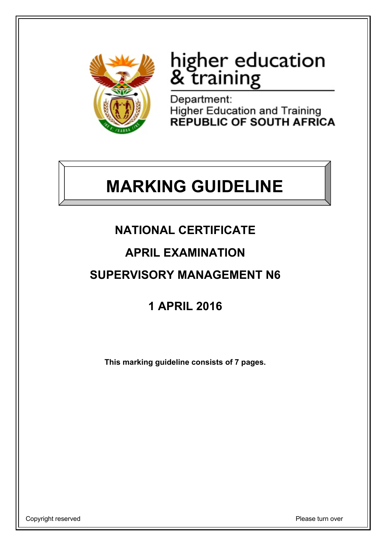

# higher education<br>& training

Department: Higher Education and Training<br>REPUBLIC OF SOUTH AFRICA

## **MARKING GUIDELINE**

## **NATIONAL CERTIFICATE**

## **APRIL EXAMINATION**

## **SUPERVISORY MANAGEMENT N6**

## **1 APRIL 2016**

**This marking guideline consists of 7 pages.**

Copyright reserved **Please** turn over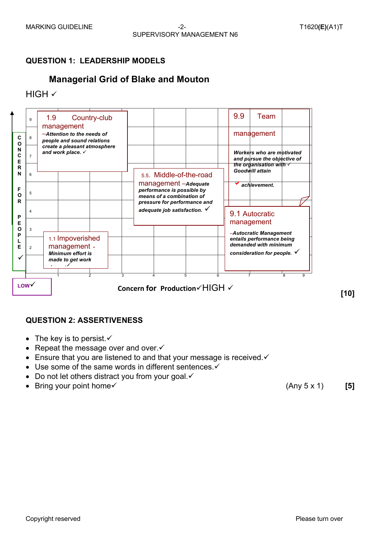## **QUESTION 1: LEADERSHIP MODELS**

## **Managerial Grid of Blake and Mouton**

 $HIGH \checkmark$ 



## **QUESTION 2: ASSERTIVENESS**

- The key is to persist. $\checkmark$
- Repeat the message over and over. $\checkmark$
- **Ensure that you are listened to and that your message is received.** $\checkmark$
- Use some of the same words in different sentences. $\checkmark$
- Do not let others distract you from your goal. $\checkmark$
- Bring your point home v and the set of the set of the set of the set of the set of the set of the set of the set of the set of the set of the set of the set of the set of the set of the set of the set of the set of the s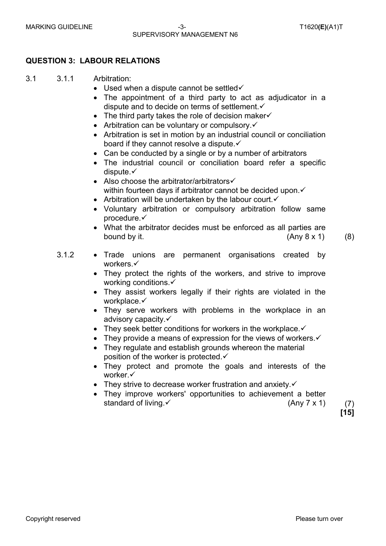#### MARKING GUIDELINE -3- T1620**(E)**(A1)T SUPERVISORY MANAGEMENT N6

## **QUESTION 3: LABOUR RELATIONS**

#### 3.1 3.1.1 Arbitration:

- Used when a dispute cannot be settled $\checkmark$
- The appointment of a third party to act as adjudicator in a dispute and to decide on terms of settlement. $\checkmark$
- The third party takes the role of decision maker $\checkmark$
- Arbitration can be voluntary or compulsory. $\checkmark$
- Arbitration is set in motion by an industrial council or conciliation board if they cannot resolve a dispute. $\checkmark$
- Can be conducted by a single or by a number of arbitrators
- The industrial council or conciliation board refer a specific dispute. $\checkmark$
- Also choose the arbitrator/arbitrators $\checkmark$ within fourteen days if arbitrator cannot be decided upon. $\checkmark$
- Arbitration will be undertaken by the labour court. $\checkmark$
- Voluntary arbitration or compulsory arbitration follow same procedure.√
- What the arbitrator decides must be enforced as all parties are bound by it.  $(Any 8 x 1)$  (8)
	-
- 3.1.2 Trade unions are permanent organisations created by workers.√
	- They protect the rights of the workers, and strive to improve working conditions. $\checkmark$
	- They assist workers legally if their rights are violated in the workplace. $\checkmark$
	- They serve workers with problems in the workplace in an advisory capacity. $\checkmark$
	- They seek better conditions for workers in the workplace. $\checkmark$
	- They provide a means of expression for the views of workers. $\checkmark$
	- They regulate and establish grounds whereon the material position of the worker is protected. $\checkmark$
	- They protect and promote the goals and interests of the worker.√
	- They strive to decrease worker frustration and anxiety. $\checkmark$
	- They improve workers' opportunities to achievement a better standard of living.  $\checkmark$  (Any 7 x 1) (7)

**[15]**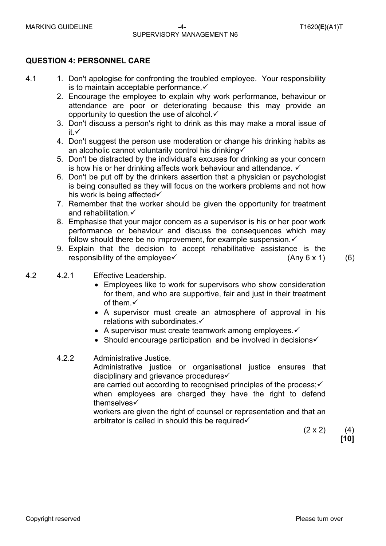## SUPERVISORY MANAGEMENT N6

## **QUESTION 4: PERSONNEL CARE**

- 4.1 1. Don't apologise for confronting the troubled employee. Your responsibility is to maintain acceptable performance. $\checkmark$ 
	- 2. Encourage the employee to explain why work performance, behaviour or attendance are poor or deteriorating because this may provide an opportunity to question the use of alcohol. $\checkmark$
	- 3. Don't discuss a person's right to drink as this may make a moral issue of it. $\checkmark$
	- 4. Don't suggest the person use moderation or change his drinking habits as an alcoholic cannot voluntarily control his drinking
	- 5. Don't be distracted by the individual's excuses for drinking as your concern is how his or her drinking affects work behaviour and attendance.  $\checkmark$
	- 6. Don't be put off by the drinkers assertion that a physician or psychologist is being consulted as they will focus on the workers problems and not how his work is being affected $\checkmark$
	- 7. Remember that the worker should be given the opportunity for treatment and rehabilitation. $\checkmark$
	- 8. Emphasise that your major concern as a supervisor is his or her poor work performance or behaviour and discuss the consequences which may follow should there be no improvement, for example suspension. $\checkmark$
	- 9. Explain that the decision to accept rehabilitative assistance is the responsibility of the employee $\checkmark$  (Any 6 x 1) (6)

- 4.2 4.2.1 Effective Leadership.
	- Employees like to work for supervisors who show consideration for them, and who are supportive, fair and just in their treatment of them. $\checkmark$
	- A supervisor must create an atmosphere of approval in his relations with subordinates. $\checkmark$
	- A supervisor must create teamwork among employees. $\checkmark$
	- Should encourage participation and be involved in decisions $\checkmark$
	- 4.2.2 Administrative Justice.

Administrative justice or organisational justice ensures that disciplinary and grievance procedures

are carried out according to recognised principles of the process; $\checkmark$ when employees are charged they have the right to defend themselves√

workers are given the right of counsel or representation and that an arbitrator is called in should this be required $\checkmark$ 

 $(2 \times 2)$  (4) **[10]**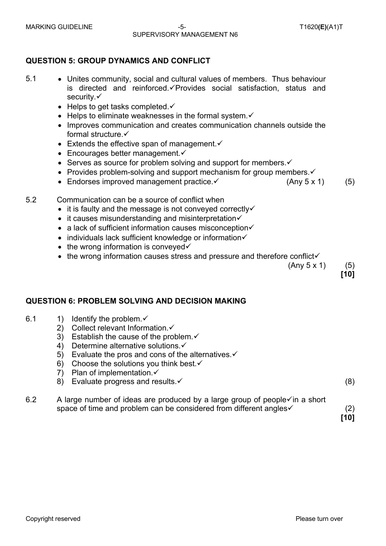#### MARKING GUIDELINE -5- T1620**(E)**(A1)T SUPERVISORY MANAGEMENT N6

## **QUESTION 5: GROUP DYNAMICS AND CONFLICT**

- 
- 5.1 Unites community, social and cultural values of members. Thus behaviour is directed and reinforced. $\checkmark$ Provides social satisfaction, status and security. $\checkmark$ 
	- Helps to get tasks completed. $\checkmark$
	- Helps to eliminate weaknesses in the formal system. $\checkmark$
	- Improves communication and creates communication channels outside the formal structure. $\checkmark$
	- Extends the effective span of management. $\checkmark$
	- Encourages better management. $\checkmark$
	- Serves as source for problem solving and support for members. $\checkmark$
	- Provides problem-solving and support mechanism for group members. $\checkmark$
	- Endorses improved management practice. $\checkmark$  (Any 5 x 1) (5)
- 5.2 Communication can be a source of conflict when
	- $\bullet$  it is faulty and the message is not conveyed correctly $\checkmark$
	- $\bullet$  it causes misunderstanding and misinterpretation $\checkmark$
	- a lack of sufficient information causes misconception $\checkmark$
	- $\bullet$  individuals lack sufficient knowledge or information $\checkmark$
	- $\bullet$  the wrong information is conveved $\checkmark$
	- $\bullet$  the wrong information causes stress and pressure and therefore conflict $\checkmark$

 $(Any 5 x 1)$  (5)

**[10]**

## **QUESTION 6: PROBLEM SOLVING AND DECISION MAKING**

- 6.1 1) Identify the problem. $\checkmark$ 
	- 2) Collect relevant Information. $\checkmark$
	- 3) Establish the cause of the problem. $\checkmark$
	- 4) Determine alternative solutions  $\checkmark$
	- 5) Evaluate the pros and cons of the alternatives. $\checkmark$
	- 6) Choose the solutions you think best. $\checkmark$
	- 7) Plan of implementation. $\checkmark$
	- 8) Evaluate progress and results.  $\checkmark$  (8)

6.2 A large number of ideas are produced by a large group of people $\checkmark$  in a short space of time and problem can be considered from different angles  $(2)$ 

**[10]**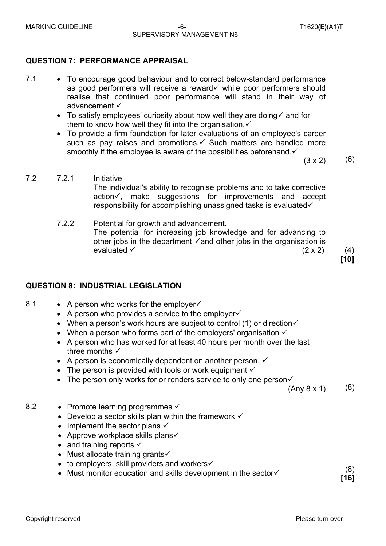#### MARKING GUIDELINE -6- T1620**(E)**(A1)T SUPERVISORY MANAGEMENT N6

## **QUESTION 7: PERFORMANCE APPRAISAL**

- 7.1 To encourage good behaviour and to correct below-standard performance as good performers will receive a reward  $\checkmark$  while poor performers should realise that continued poor performance will stand in their way of advancement. $\checkmark$ 
	- To satisfy employees' curiosity about how well they are doing  $\checkmark$  and for them to know how well they fit into the organisation. $\checkmark$
	- To provide a firm foundation for later evaluations of an employee's career such as pay raises and promotions. $\checkmark$  Such matters are handled more smoothly if the employee is aware of the possibilities beforehand. $\checkmark$

 $(3 \times 2)$  (6)

- 7.2 7.2.1 Initiative The individual's ability to recognise problems and to take corrective action $\checkmark$ , make suggestions for improvements and accept responsibility for accomplishing unassigned tasks is evaluated $\checkmark$ 
	- 7.2.2 Potential for growth and advancement. The potential for increasing job knowledge and for advancing to other jobs in the department  $\checkmark$  and other jobs in the organisation is evaluated  $(2 \times 2)$  (4)

**[10]**

## **QUESTION 8: INDUSTRIAL LEGISLATION**

- 8.1 A person who works for the employer
	- A person who provides a service to the employer $\checkmark$
	- When a person's work hours are subject to control (1) or direction $\checkmark$
	- When a person who forms part of the employers' organisation  $\checkmark$
	- A person who has worked for at least 40 hours per month over the last three months  $\checkmark$
	- A person is economically dependent on another person.  $\checkmark$
	- The person is provided with tools or work equipment  $\checkmark$
	- The person only works for or renders service to only one person $\checkmark$

 $(Any 8 x 1)$  (8)

- 8.2 Promote learning programmes  $\checkmark$ 
	- Develop a sector skills plan within the framework  $\checkmark$
	- Implement the sector plans  $\checkmark$
	- Approve workplace skills plans $\checkmark$
	- and training reports  $\checkmark$
	- Must allocate training grants $\checkmark$
	- $\bullet$  to employers, skill providers and workers $\checkmark$
	- to employers, star providers and workers.<br>• Must monitor education and skills development in the sector $\checkmark$

**[16]**